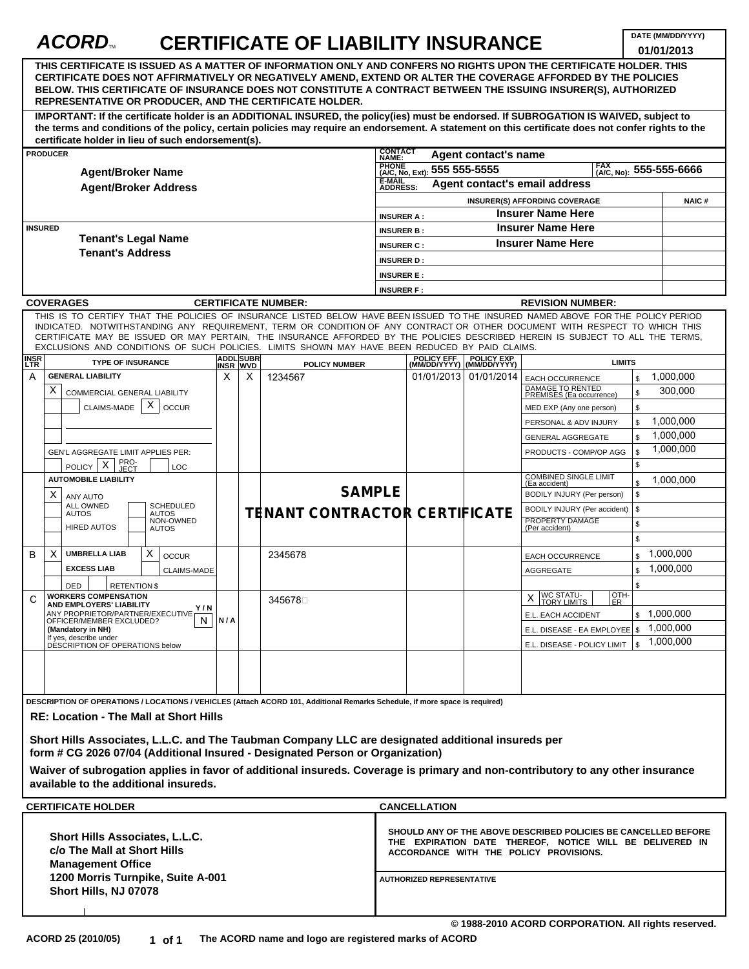# ACORD<sub>M</sub> CERTIFICATE OF LIABILITY INSURANCE

**DATE (MM/DD/YYYY) 01/01/2013**

|                                                                                                                                | THIS CERTIFICATE IS ISSUED AS A MATTER OF INFORMATION ONLY AND CONFERS NO RIGHTS UPON THE CERTIFICATE HOLDER. THIS<br>CERTIFICATE DOES NOT AFFIRMATIVELY OR NEGATIVELY AMEND. EXTEND OR ALTER THE COVERAGE AFFORDED BY THE POLICIES<br>BELOW. THIS CERTIFICATE OF INSURANCE DOES NOT CONSTITUTE A CONTRACT BETWEEN THE ISSUING INSURER(S), AUTHORIZED<br>REPRESENTATIVE OR PRODUCER, AND THE CERTIFICATE HOLDER. |     |                              |                               |                                                                   |                                                                                                                                                                                                          |                      |                                                                        |                      |                      |  |
|--------------------------------------------------------------------------------------------------------------------------------|------------------------------------------------------------------------------------------------------------------------------------------------------------------------------------------------------------------------------------------------------------------------------------------------------------------------------------------------------------------------------------------------------------------|-----|------------------------------|-------------------------------|-------------------------------------------------------------------|----------------------------------------------------------------------------------------------------------------------------------------------------------------------------------------------------------|----------------------|------------------------------------------------------------------------|----------------------|----------------------|--|
|                                                                                                                                | IMPORTANT: If the certificate holder is an ADDITIONAL INSURED, the policy(ies) must be endorsed. If SUBROGATION IS WAIVED, subject to<br>the terms and conditions of the policy, certain policies may require an endorsement. A statement on this certificate does not confer rights to the<br>certificate holder in lieu of such endorsement(s).                                                                |     |                              |                               |                                                                   |                                                                                                                                                                                                          |                      |                                                                        |                      |                      |  |
|                                                                                                                                | <b>PRODUCER</b>                                                                                                                                                                                                                                                                                                                                                                                                  |     |                              |                               | <b>CONTACT</b><br>NAME:                                           |                                                                                                                                                                                                          | Agent contact's name |                                                                        |                      |                      |  |
|                                                                                                                                | <b>Agent/Broker Name</b>                                                                                                                                                                                                                                                                                                                                                                                         |     |                              |                               | PHONE (A/C, No, Ext): 555 555-5555<br>FAX (A/C, No): 555-555-6666 |                                                                                                                                                                                                          |                      |                                                                        |                      |                      |  |
| <b>Agent/Broker Address</b><br><b>INSURED</b><br><b>Tenant's Legal Name</b>                                                    |                                                                                                                                                                                                                                                                                                                                                                                                                  |     |                              |                               |                                                                   | E-MAIL<br>Agent contact's email address<br><b>ADDRESS:</b>                                                                                                                                               |                      |                                                                        |                      |                      |  |
|                                                                                                                                |                                                                                                                                                                                                                                                                                                                                                                                                                  |     |                              |                               |                                                                   | INSURER(S) AFFORDING COVERAGE<br><b>NAIC#</b>                                                                                                                                                            |                      |                                                                        |                      |                      |  |
|                                                                                                                                |                                                                                                                                                                                                                                                                                                                                                                                                                  |     |                              |                               |                                                                   | <b>Insurer Name Here</b><br><b>INSURER A:</b>                                                                                                                                                            |                      |                                                                        |                      |                      |  |
|                                                                                                                                |                                                                                                                                                                                                                                                                                                                                                                                                                  |     |                              |                               |                                                                   | <b>Insurer Name Here</b><br><b>INSURER B:</b>                                                                                                                                                            |                      |                                                                        |                      |                      |  |
|                                                                                                                                |                                                                                                                                                                                                                                                                                                                                                                                                                  |     |                              |                               |                                                                   | <b>Insurer Name Here</b><br><b>INSURER C:</b>                                                                                                                                                            |                      |                                                                        |                      |                      |  |
| <b>Tenant's Address</b>                                                                                                        |                                                                                                                                                                                                                                                                                                                                                                                                                  |     |                              |                               | <b>INSURER D:</b>                                                 |                                                                                                                                                                                                          |                      |                                                                        |                      |                      |  |
|                                                                                                                                |                                                                                                                                                                                                                                                                                                                                                                                                                  |     |                              |                               |                                                                   | <b>INSURER E:</b>                                                                                                                                                                                        |                      |                                                                        |                      |                      |  |
|                                                                                                                                |                                                                                                                                                                                                                                                                                                                                                                                                                  |     |                              |                               | <b>INSURER F:</b>                                                 |                                                                                                                                                                                                          |                      |                                                                        |                      |                      |  |
|                                                                                                                                | <b>COVERAGES</b>                                                                                                                                                                                                                                                                                                                                                                                                 |     |                              | <b>CERTIFICATE NUMBER:</b>    |                                                                   |                                                                                                                                                                                                          |                      | <b>REVISION NUMBER:</b>                                                |                      |                      |  |
|                                                                                                                                | THIS IS TO CERTIFY THAT THE POLICIES OF INSURANCE LISTED BELOW HAVE BEEN ISSUED TO THE INSURED NAMED ABOVE FOR THE POLICY PERIOD                                                                                                                                                                                                                                                                                 |     |                              |                               |                                                                   |                                                                                                                                                                                                          |                      |                                                                        |                      |                      |  |
|                                                                                                                                | INDICATED. NOTWITHSTANDING ANY REQUIREMENT, TERM OR CONDITION OF ANY CONTRACT OR OTHER DOCUMENT WITH RESPECT TO WHICH THIS<br>CERTIFICATE MAY BE ISSUED OR MAY PERTAIN, THE INSURANCE AFFORDED BY THE POLICIES DESCRIBED HEREIN IS SUBJECT TO ALL THE TERMS,<br>EXCLUSIONS AND CONDITIONS OF SUCH POLICIES. LIMITS SHOWN MAY HAVE BEEN REDUCED BY PAID CLAIMS.                                                   |     |                              |                               |                                                                   |                                                                                                                                                                                                          |                      |                                                                        |                      |                      |  |
| <b>INSR</b><br>LTR                                                                                                             | <b>TYPE OF INSURANCE</b>                                                                                                                                                                                                                                                                                                                                                                                         |     | <b>ADDL SUBR</b><br>INSR WVD | <b>POLICY NUMBER</b>          |                                                                   | POLICY EFF POLICY EXP<br>(MM/DD/YYYY) (MM/DD/YYYY)                                                                                                                                                       |                      | <b>LIMITS</b>                                                          |                      |                      |  |
| A                                                                                                                              | <b>GENERAL LIABILITY</b><br>X<br><b>COMMERCIAL GENERAL LIABILITY</b>                                                                                                                                                                                                                                                                                                                                             | X   | X                            | 1234567                       |                                                                   | 01/01/2013 01/01/2014                                                                                                                                                                                    |                      | <b>EACH OCCURRENCE</b><br>DAMAGE TO RENTED<br>PREMISES (Ea occurrence) | \$<br>\$             | 1,000,000<br>300,000 |  |
|                                                                                                                                | X<br><b>CLAIMS-MADE</b><br><b>OCCUR</b>                                                                                                                                                                                                                                                                                                                                                                          |     |                              |                               |                                                                   |                                                                                                                                                                                                          |                      | MED EXP (Any one person)                                               | \$                   |                      |  |
|                                                                                                                                |                                                                                                                                                                                                                                                                                                                                                                                                                  |     |                              |                               |                                                                   |                                                                                                                                                                                                          |                      | PERSONAL & ADV INJURY                                                  | \$                   | 1,000,000            |  |
|                                                                                                                                |                                                                                                                                                                                                                                                                                                                                                                                                                  |     |                              |                               |                                                                   |                                                                                                                                                                                                          |                      | <b>GENERAL AGGREGATE</b>                                               | $\mathbb{S}$         | 1,000,000            |  |
|                                                                                                                                | GEN'L AGGREGATE LIMIT APPLIES PER:<br>PRO-<br>JECT<br>X                                                                                                                                                                                                                                                                                                                                                          |     |                              |                               |                                                                   |                                                                                                                                                                                                          |                      | PRODUCTS - COMP/OP AGG                                                 | $$\mathbb{S}$$<br>\$ | 1,000,000            |  |
|                                                                                                                                | <b>POLICY</b><br><b>LOC</b><br><b>AUTOMOBILE LIABILITY</b>                                                                                                                                                                                                                                                                                                                                                       |     |                              |                               |                                                                   |                                                                                                                                                                                                          |                      | <b>COMBINED SINGLE LIMIT</b><br>(Ea accident)                          |                      | 1,000,000            |  |
|                                                                                                                                | х<br>ANY AUTO                                                                                                                                                                                                                                                                                                                                                                                                    |     |                              | <b>SAMPLE</b>                 |                                                                   |                                                                                                                                                                                                          |                      | BODILY INJURY (Per person)                                             | \$                   |                      |  |
|                                                                                                                                | ALL OWNED<br><b>SCHEDULED</b><br><b>AUTOS</b><br>AUTOS<br>NON-OWNED<br><b>HIRED AUTOS</b><br><b>AUTOS</b>                                                                                                                                                                                                                                                                                                        |     |                              | TENANT CONTRACTOR CERTIFICATE |                                                                   |                                                                                                                                                                                                          |                      | BODILY INJURY (Per accident)<br>PROPERTY DAMAGE<br>(Per accident)      | \$<br>\$             |                      |  |
|                                                                                                                                |                                                                                                                                                                                                                                                                                                                                                                                                                  |     |                              |                               |                                                                   |                                                                                                                                                                                                          |                      |                                                                        | \$                   |                      |  |
| B                                                                                                                              | <b>UMBRELLA LIAB</b><br>X<br>X<br><b>OCCUR</b>                                                                                                                                                                                                                                                                                                                                                                   |     |                              | 2345678                       |                                                                   |                                                                                                                                                                                                          |                      | <b>EACH OCCURRENCE</b>                                                 | \$                   | 1,000,000            |  |
|                                                                                                                                | <b>EXCESS LIAB</b><br><b>CLAIMS-MADE</b>                                                                                                                                                                                                                                                                                                                                                                         |     |                              |                               |                                                                   |                                                                                                                                                                                                          |                      | <b>AGGREGATE</b>                                                       | \$                   | 1,000,000            |  |
| C                                                                                                                              | DED<br><b>RETENTION \$</b><br><b>WORKERS COMPENSATION</b><br>AND EMPLOYERS' LIABILITY                                                                                                                                                                                                                                                                                                                            |     |                              | 3456789                       |                                                                   |                                                                                                                                                                                                          |                      | <b>WC STATU-</b><br>OTH-<br>X<br><b>TORY LIMITS</b><br>ER.             | \$                   |                      |  |
|                                                                                                                                | Y/N<br>ANY PROPRIETOR/PARTNER/EXECUTIVE<br>OFFICER/MEMBER EXCLUDED?<br>N.                                                                                                                                                                                                                                                                                                                                        | N/A |                              |                               |                                                                   |                                                                                                                                                                                                          |                      | E.L. EACH ACCIDENT                                                     |                      | \$1,000,000          |  |
|                                                                                                                                | (Mandatory in NH)                                                                                                                                                                                                                                                                                                                                                                                                |     |                              |                               |                                                                   |                                                                                                                                                                                                          |                      | E.L. DISEASE - EA EMPLOYEE \$ 1,000,000                                |                      |                      |  |
|                                                                                                                                | If yes, describe under<br>DESCRIPTION OF OPERATIONS below                                                                                                                                                                                                                                                                                                                                                        |     |                              |                               |                                                                   |                                                                                                                                                                                                          |                      | E.L. DISEASE - POLICY LIMIT   \$                                       |                      | 1,000,000            |  |
|                                                                                                                                | DESCRIPTION OF OPERATIONS / LOCATIONS / VEHICLES (Attach ACORD 101, Additional Remarks Schedule, if more space is required)                                                                                                                                                                                                                                                                                      |     |                              |                               |                                                                   |                                                                                                                                                                                                          |                      |                                                                        |                      |                      |  |
|                                                                                                                                | <b>RE: Location - The Mall at Short Hills</b><br>Short Hills Associates, L.L.C. and The Taubman Company LLC are designated additional insureds per<br>form # CG 2026 07/04 (Additional Insured - Designated Person or Organization)<br>Waiver of subrogation applies in favor of additional insureds. Coverage is primary and non-contributory to any other insurance<br>available to the additional insureds.   |     |                              |                               |                                                                   |                                                                                                                                                                                                          |                      |                                                                        |                      |                      |  |
|                                                                                                                                | <b>CERTIFICATE HOLDER</b>                                                                                                                                                                                                                                                                                                                                                                                        |     |                              |                               |                                                                   | <b>CANCELLATION</b>                                                                                                                                                                                      |                      |                                                                        |                      |                      |  |
| Short Hills Associates, L.L.C.<br>c/o The Mall at Short Hills<br><b>Management Office</b><br>1200 Morris Turnpike, Suite A-001 |                                                                                                                                                                                                                                                                                                                                                                                                                  |     |                              |                               |                                                                   | SHOULD ANY OF THE ABOVE DESCRIBED POLICIES BE CANCELLED BEFORE<br>THE EXPIRATION DATE THEREOF, NOTICE WILL BE DELIVERED IN<br>ACCORDANCE WITH THE POLICY PROVISIONS.<br><b>AUTHORIZED REPRESENTATIVE</b> |                      |                                                                        |                      |                      |  |
|                                                                                                                                | Short Hills, NJ 07078                                                                                                                                                                                                                                                                                                                                                                                            |     |                              |                               |                                                                   |                                                                                                                                                                                                          |                      |                                                                        |                      |                      |  |